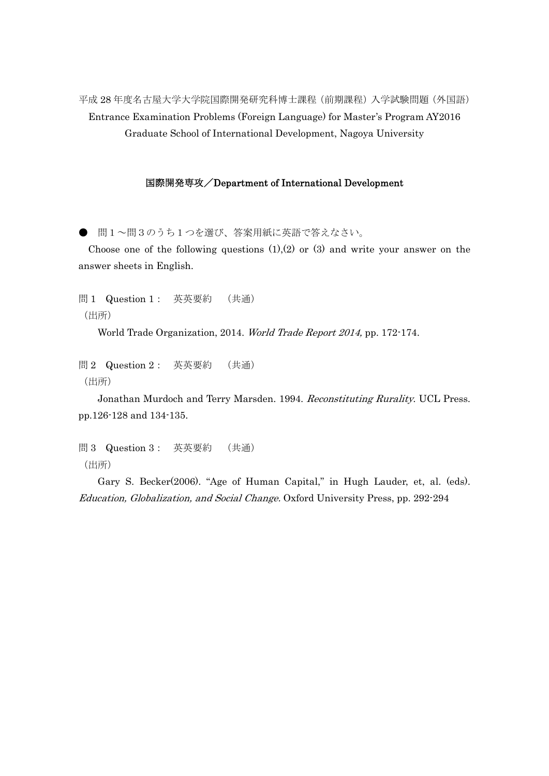平成 28 年度名古屋大学大学院国際開発研究科博士課程(前期課程)入学試験問題(外国語) Entrance Examination Problems (Foreign Language) for Master's Program AY2016 Graduate School of International Development, Nagoya University

## 国際開発専攻/Department of International Development

● 問1~問3のうち1つを選び、答案用紙に英語で答えなさい。

Choose one of the following questions  $(1)(2)$  or  $(3)$  and write your answer on the answer sheets in English.

問 1 Question 1: 英英要約 (共通) (出所)

World Trade Organization, 2014. World Trade Report 2014, pp. 172-174.

問 2 Question 2: 英英要約 (共通) (出所)

Jonathan Murdoch and Terry Marsden. 1994. Reconstituting Rurality. UCL Press. pp.126-128 and 134-135.

問 3 Question 3: 英英要約 (共通) (出所)

Gary S. Becker(2006). "Age of Human Capital," in Hugh Lauder, et, al. (eds). Education, Globalization, and Social Change. Oxford University Press, pp. 292-294